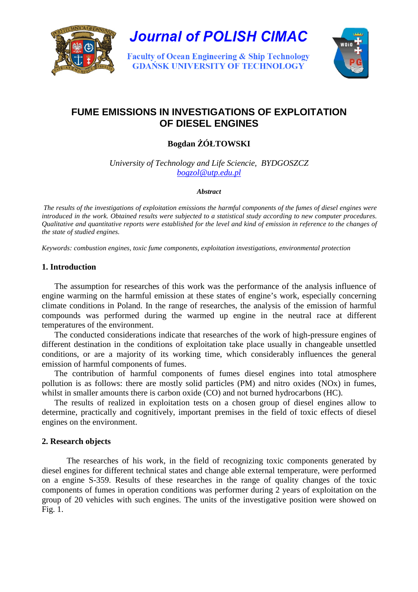

**Journal of POLISH CIMAC** 

**Faculty of Ocean Engineering & Ship Technology GDAŃSK UNIVERSITY OF TECHNOLOGY** 



# **FUME EMISSIONS IN INVESTIGATIONS OF EXPLOITATION OF DIESEL ENGINES**

## **Bogdan** ś**ÓŁTOWSKI**

*University of Technology and Life Sciencie, BYDGOSZCZ bogzol@utp.edu.pl*

#### *Abstract*

*The results of the investigations of exploitation emissions the harmful components of the fumes of diesel engines were introduced in the work. Obtained results were subjected to a statistical study according to new computer procedures. Qualitative and quantitative reports were established for the level and kind of emission in reference to the changes of the state of studied engines.* 

*Keywords: combustion engines, toxic fume components, exploitation investigations, environmental protection* 

## **1. Introduction**

The assumption for researches of this work was the performance of the analysis influence of engine warming on the harmful emission at these states of engine's work, especially concerning climate conditions in Poland. In the range of researches, the analysis of the emission of harmful compounds was performed during the warmed up engine in the neutral race at different temperatures of the environment.

The conducted considerations indicate that researches of the work of high-pressure engines of different destination in the conditions of exploitation take place usually in changeable unsettled conditions, or are a majority of its working time, which considerably influences the general emission of harmful components of fumes.

The contribution of harmful components of fumes diesel engines into total atmosphere pollution is as follows: there are mostly solid particles (PM) and nitro oxides (NOx) in fumes, whilst in smaller amounts there is carbon oxide (CO) and not burned hydrocarbons (HC).

The results of realized in exploitation tests on a chosen group of diesel engines allow to determine, practically and cognitively, important premises in the field of toxic effects of diesel engines on the environment.

## **2. Research objects**

The researches of his work, in the field of recognizing toxic components generated by diesel engines for different technical states and change able external temperature, were performed on a engine S-359. Results of these researches in the range of quality changes of the toxic components of fumes in operation conditions was performer during 2 years of exploitation on the group of 20 vehicles with such engines. The units of the investigative position were showed on Fig. 1.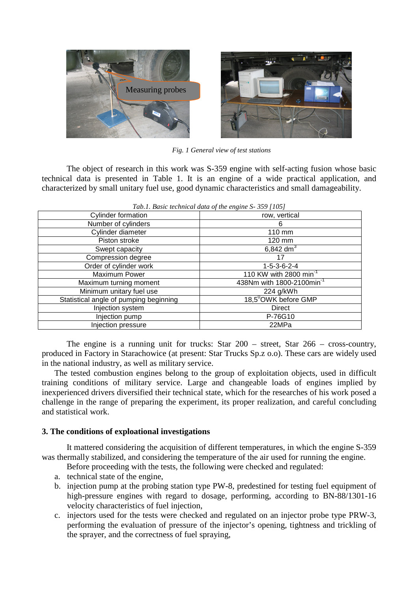

*Fig. 1 General view of test stations* 

The object of research in this work was S-359 engine with self-acting fusion whose basic technical data is presented in Table 1. It is an engine of a wide practical application, and characterized by small unitary fuel use, good dynamic characteristics and small damageability.

| Tub.1. Basic icentificat and of the engine $5-55$ /105/ |  |  |  |  |  |
|---------------------------------------------------------|--|--|--|--|--|
| row, vertical                                           |  |  |  |  |  |
| 6                                                       |  |  |  |  |  |
| 110 mm                                                  |  |  |  |  |  |
| 120 mm                                                  |  |  |  |  |  |
| $6,842 \text{ dm}^3$                                    |  |  |  |  |  |
| 17                                                      |  |  |  |  |  |
| $1 - 5 - 3 - 6 - 2 - 4$                                 |  |  |  |  |  |
| 110 KW with 2800 min <sup>-1</sup>                      |  |  |  |  |  |
| 438Nm with 1800-2100min <sup>-1</sup>                   |  |  |  |  |  |
| 224 g/kWh                                               |  |  |  |  |  |
| 18,5 <sup>0</sup> OWK before GMP                        |  |  |  |  |  |
| <b>Direct</b>                                           |  |  |  |  |  |
| P-76G10                                                 |  |  |  |  |  |
| 22MPa                                                   |  |  |  |  |  |
|                                                         |  |  |  |  |  |

*Tab.1. Basic technical data of the engine S- 359 [105]* 

The engine is a running unit for trucks: Star 200 – street, Star 266 – cross-country, produced in Factory in Starachowice (at present: Star Trucks Sp.z o.o). These cars are widely used in the national industry, as well as military service.

The tested combustion engines belong to the group of exploitation objects, used in difficult training conditions of military service. Large and changeable loads of engines implied by inexperienced drivers diversified their technical state, which for the researches of his work posed a challenge in the range of preparing the experiment, its proper realization, and careful concluding and statistical work.

## **3. The conditions of exploational investigations**

It mattered considering the acquisition of different temperatures, in which the engine S-359 was thermally stabilized, and considering the temperature of the air used for running the engine.

- Before proceeding with the tests, the following were checked and regulated:
- a. technical state of the engine,
- b. injection pump at the probing station type PW-8, predestined for testing fuel equipment of high-pressure engines with regard to dosage, performing, according to BN-88/1301-16 velocity characteristics of fuel injection,
- c. injectors used for the tests were checked and regulated on an injector probe type PRW-3, performing the evaluation of pressure of the injector's opening, tightness and trickling of the sprayer, and the correctness of fuel spraying,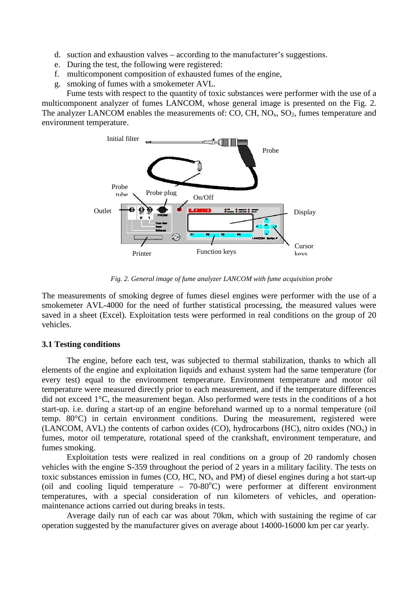- d. suction and exhaustion valves according to the manufacturer's suggestions.
- e. During the test, the following were registered:
- f. multicomponent composition of exhausted fumes of the engine,
- g. smoking of fumes with a smokemeter AVL.

Fume tests with respect to the quantity of toxic substances were performer with the use of a multicomponent analyzer of fumes LANCOM, whose general image is presented on the Fig. 2. The analyzer LANCOM enables the measurements of: CO, CH,  $NO<sub>x</sub>$ ,  $SO<sub>2</sub>$ , fumes temperature and environment temperature.



*Fig. 2. General image of fume analyzer LANCOM with fume acquisition probe* 

The measurements of smoking degree of fumes diesel engines were performer with the use of a smokemeter AVL-4000 for the need of further statistical processing, the measured values were saved in a sheet (Excel). Exploitation tests were performed in real conditions on the group of 20 vehicles.

#### **3.1 Testing conditions**

The engine, before each test, was subjected to thermal stabilization, thanks to which all elements of the engine and exploitation liquids and exhaust system had the same temperature (for every test) equal to the environment temperature. Environment temperature and motor oil temperature were measured directly prior to each measurement, and if the temperature differences did not exceed 1°C, the measurement began. Also performed were tests in the conditions of a hot start-up. i.e. during a start-up of an engine beforehand warmed up to a normal temperature (oil temp. 80°C) in certain environment conditions. During the measurement, registered were (LANCOM, AVL) the contents of carbon oxides (CO), hydrocarbons (HC), nitro oxides  $(NO_x)$  in fumes, motor oil temperature, rotational speed of the crankshaft, environment temperature, and fumes smoking.

Exploitation tests were realized in real conditions on a group of 20 randomly chosen vehicles with the engine S-359 throughout the period of 2 years in a military facility. The tests on toxic substances emission in fumes (CO, HC,  $NO<sub>x</sub>$  and PM) of diesel engines during a hot start-up (oil and cooling liquid temperature –  $70-80^{\circ}$ C) were performer at different environment temperatures, with a special consideration of run kilometers of vehicles, and operationmaintenance actions carried out during breaks in tests.

Average daily run of each car was about 70km, which with sustaining the regime of car operation suggested by the manufacturer gives on average about 14000-16000 km per car yearly.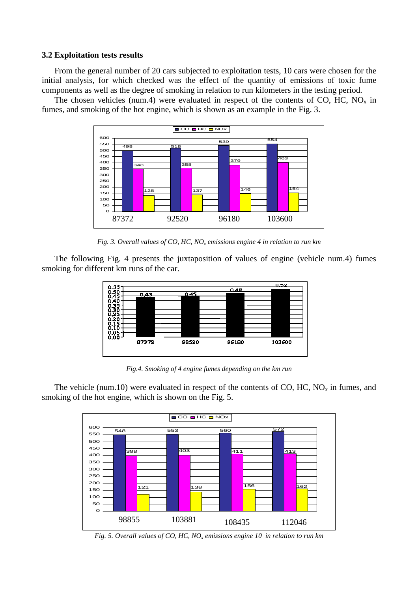#### **3.2 Exploitation tests results**

From the general number of 20 cars subjected to exploitation tests, 10 cars were chosen for the initial analysis, for which checked was the effect of the quantity of emissions of toxic fume components as well as the degree of smoking in relation to run kilometers in the testing period.

The chosen vehicles (num.4) were evaluated in respect of the contents of CO, HC,  $NO<sub>x</sub>$  in fumes, and smoking of the hot engine, which is shown as an example in the Fig. 3.



*Fig. 3. Overall values of CO, HC, NO<sup>x</sup> emissions engine 4 in relation to run km* 

The following Fig. 4 presents the juxtaposition of values of engine (vehicle num.4) fumes smoking for different km runs of the car.



*Fig.4. Smoking of 4 engine fumes depending on the km run* 

The vehicle (num.10) were evaluated in respect of the contents of CO, HC,  $NO<sub>x</sub>$  in fumes, and smoking of the hot engine, which is shown on the Fig. 5.



*Fig. 5. Overall values of CO, HC, NO<sup>x</sup> emissions engine 10 in relation to run km*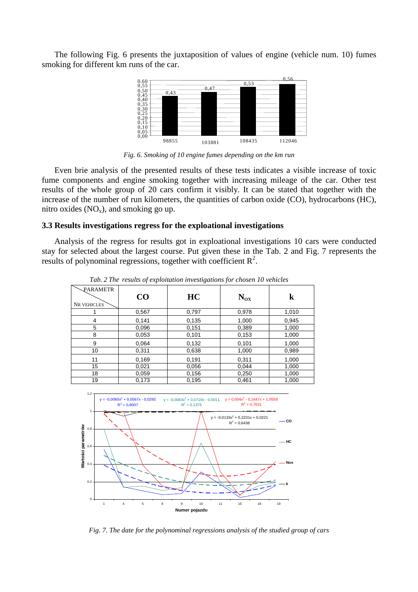The following Fig. 6 presents the juxtaposition of values of engine (vehicle num. 10) fumes smoking for different km runs of the car.



*Fig. 6. Smoking of 10 engine fumes depending on the km run* 

Even brie analysis of the presented results of these tests indicates a visible increase of toxic fume components and engine smoking together with increasing mileage of the car. Other test results of the whole group of 20 cars confirm it visibly. It can be stated that together with the increase of the number of run kilometers, the quantities of carbon oxide (CO), hydrocarbons (HC), nitro oxides  $(NO_x)$ , and smoking go up.

#### **3.3 Results investigations regress for the exploational investigations**

Analysis of the regress for results got in exploational investigations 10 cars were conducted stay for selected about the largest course. Put given these in the Tab. 2 and Fig. 7 represents the results of polynominal regressions, together with coefficient  $\mathbb{R}^2$ .

| PARAMETR<br><b>NR VEHICLES</b> | $\bf CO$ | HC    | $N_{OX}$ | k     |
|--------------------------------|----------|-------|----------|-------|
|                                | 0,567    | 0,797 | 0,978    | 1,010 |
| 4                              | 0,141    | 0,135 | 1,000    | 0,945 |
| 5                              | 0,096    | 0,151 | 0,389    | 1,000 |
| 8                              | 0,053    | 0,101 | 0,153    | 1,000 |
| 9                              | 0,064    | 0,132 | 0,101    | 1,000 |
| 10                             | 0,311    | 0,638 | 1,000    | 0,989 |
| 11                             | 0,169    | 0,191 | 0,311    | 1,000 |
| 15                             | 0,021    | 0,056 | 0,044    | 1,000 |
| 18                             | 0,059    | 0,156 | 0,250    | 1,000 |
| 19                             | 0,173    | 0,195 | 0,461    | 1,000 |

*Tab. 2 The results of exploitation investigations for chosen 10 vehicles* 



*Fig. 7. The date for the polynominal regressions analysis of the studied group of cars*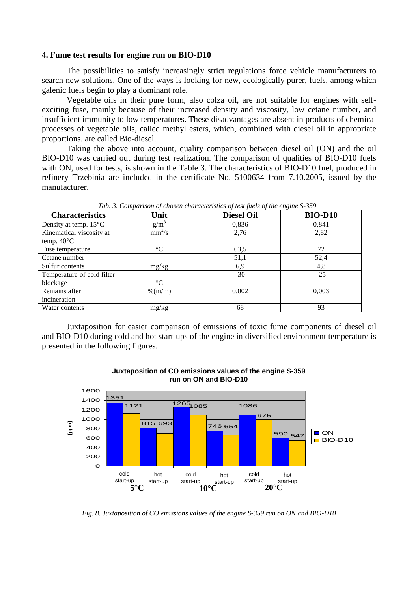#### **4. Fume test results for engine run on BIO-D10**

The possibilities to satisfy increasingly strict regulations force vehicle manufacturers to search new solutions. One of the ways is looking for new, ecologically purer, fuels, among which galenic fuels begin to play a dominant role.

Vegetable oils in their pure form, also colza oil, are not suitable for engines with selfexciting fuse, mainly because of their increased density and viscosity, low cetane number, and insufficient immunity to low temperatures. These disadvantages are absent in products of chemical processes of vegetable oils, called methyl esters, which, combined with diesel oil in appropriate proportions, are called Bio-diesel.

Taking the above into account, quality comparison between diesel oil (ON) and the oil BIO-D10 was carried out during test realization. The comparison of qualities of BIO-D10 fuels with ON, used for tests, is shown in the Table 3. The characteristics of BIO-D10 fuel, produced in refinery Trzebinia are included in the certificate No. 5100634 from 7.10.2005, issued by the manufacturer.

| <b>Characteristics</b>          | Unit            | <b>Diesel Oil</b> | <b>BIO-D10</b> |
|---------------------------------|-----------------|-------------------|----------------|
| Density at temp. $15^{\circ}$ C | $g/m^2$         | 0,836             | 0,841          |
| Kinematical viscosity at        | $mm^2/s$        | 2,76              | 2,82           |
| temp. $40^{\circ}$ C            |                 |                   |                |
| Fuse temperature                | $\rm ^{\circ}C$ | 63,5              | 72             |
| Cetane number                   |                 | 51,1              | 52,4           |
| Sulfur contents                 | mg/kg           | 6,9               | 4,8            |
| Temperature of cold filter      |                 | $-30$             | $-25$          |
| blockage                        | $\rm ^{\circ}C$ |                   |                |
| Remains after                   | $%$ (m/m)       | 0,002             | 0,003          |
| incineration                    |                 |                   |                |
| Water contents                  | mg/kg           | 68                | 93             |

 *Tab. 3. Comparison of chosen characteristics of test fuels of the engine S-359* 

Juxtaposition for easier comparison of emissions of toxic fume components of diesel oil and BIO-D10 during cold and hot start-ups of the engine in diversified environment temperature is presented in the following figures.



*Fig. 8. Juxtaposition of CO emissions values of the engine S-359 run on ON and BIO-D10*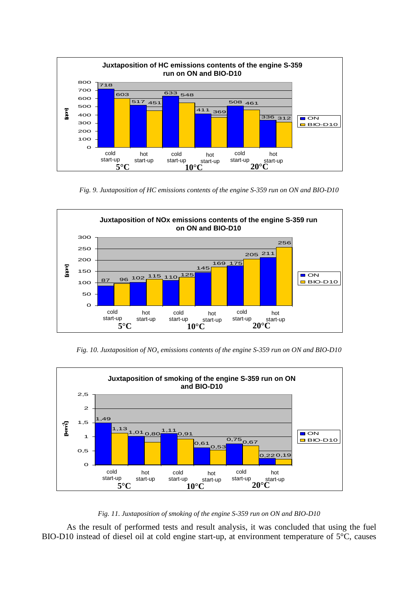

*Fig. 9. Juxtaposition of HC emissions contents of the engine S-359 run on ON and BIO-D10* 



*Fig. 10. Juxtaposition of NO<sup>x</sup> emissions contents of the engine S-359 run on ON and BIO-D10* 



#### *Fig. 11. Juxtaposition of smoking of the engine S-359 run on ON and BIO-D10*

As the result of performed tests and result analysis, it was concluded that using the fuel BIO-D10 instead of diesel oil at cold engine start-up, at environment temperature of 5°C, causes